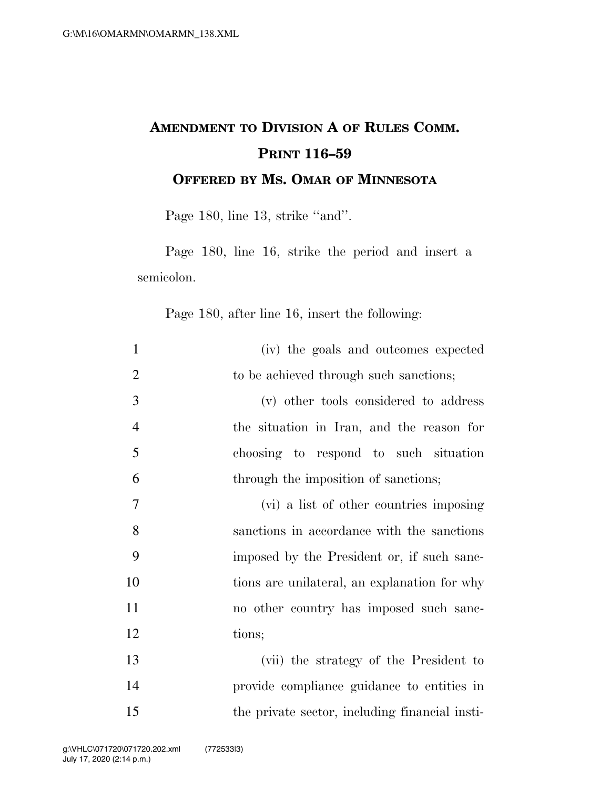## **AMENDMENT TO DIVISION A OF RULES COMM. PRINT 116–59 OFFERED BY MS. OMAR OF MINNESOTA**

Page 180, line 13, strike "and".

Page 180, line 16, strike the period and insert a semicolon.

Page 180, after line 16, insert the following:

| $\mathbf{1}$   | (iv) the goals and outcomes expected           |
|----------------|------------------------------------------------|
| $\overline{2}$ | to be achieved through such sanctions;         |
| 3              | (v) other tools considered to address          |
| $\overline{4}$ | the situation in Iran, and the reason for      |
| 5              | choosing to respond to such situation          |
| 6              | through the imposition of sanctions;           |
| $\overline{7}$ | (vi) a list of other countries imposing        |
| 8              | sanctions in accordance with the sanctions     |
| 9              | imposed by the President or, if such sanc-     |
| 10             | tions are unilateral, an explanation for why   |
| 11             | no other country has imposed such sanc-        |
| 12             | tions;                                         |
| 13             | (vii) the strategy of the President to         |
| 14             | provide compliance guidance to entities in     |
| 15             | the private sector, including financial insti- |